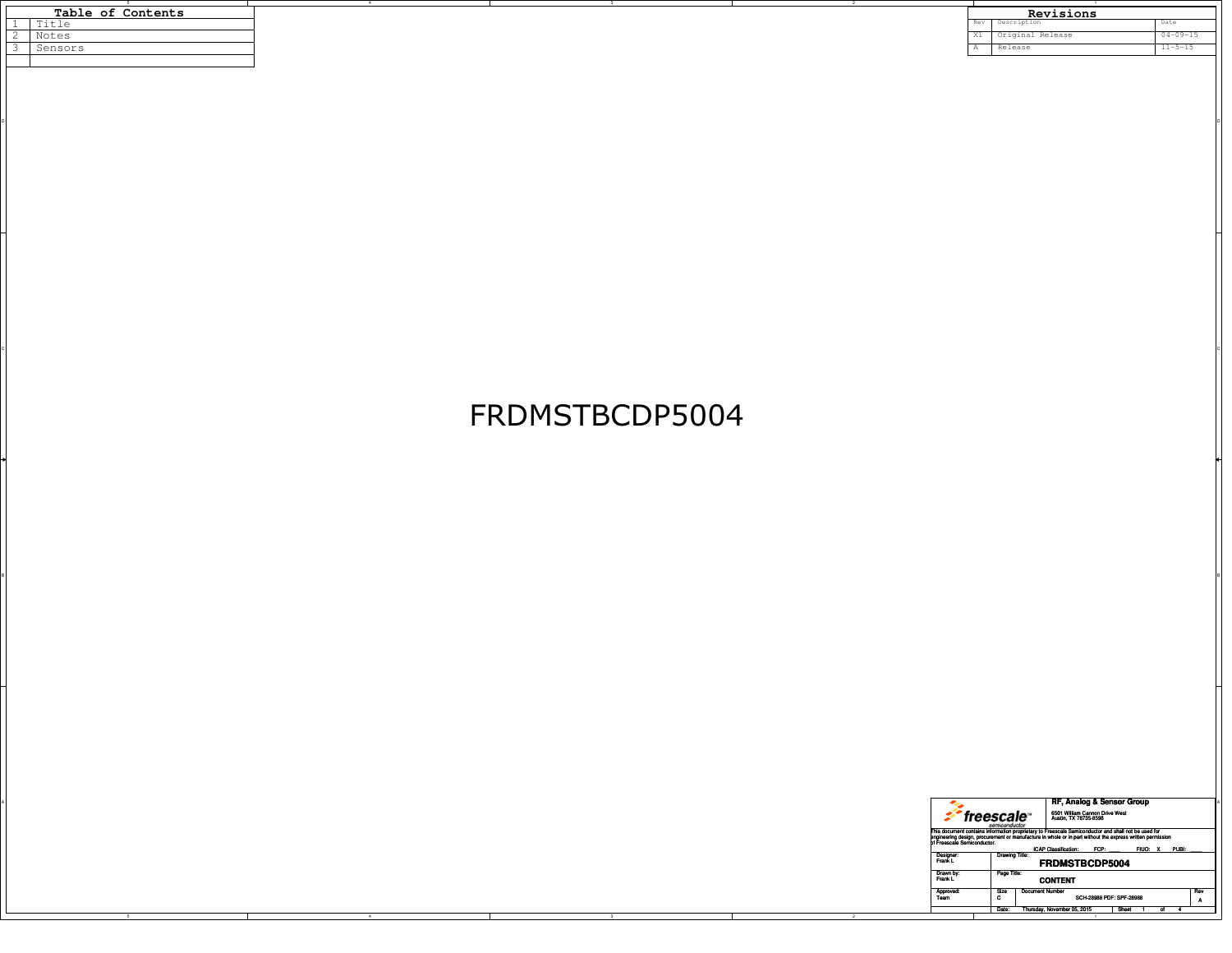|  | Table of Contents |  |  |  |  |
|--|-------------------|--|--|--|--|
|  | Title             |  |  |  |  |
|  | Notes             |  |  |  |  |
|  | Sensors           |  |  |  |  |
|  |                   |  |  |  |  |
|  |                   |  |  |  |  |

| Table of Contents |                       |  |  |  |       | Revisions        |                |
|-------------------|-----------------------|--|--|--|-------|------------------|----------------|
|                   | $T + 1$<br>╹<br>エエヒエロ |  |  |  | Rev   | Description      | <b>Marc</b>    |
|                   | Notes                 |  |  |  | $-11$ | Original Release | $04 - 09 - 15$ |
|                   | Sensors               |  |  |  |       | Releast          | $11 - 5 - 15$  |
|                   |                       |  |  |  |       |                  |                |

## FRDMSTBCDP5004

BI<br>Bi

 $\circ$ 

on and the contract of the contract of the contract of the contract of the contract of the contract of the contract of the contract of the contract of the contract of the contract of the contract of the contract of the con

|  |                             | RF, Analog & Sensor Group                                                                                                                                                                                                                                      |
|--|-----------------------------|----------------------------------------------------------------------------------------------------------------------------------------------------------------------------------------------------------------------------------------------------------------|
|  |                             | 6501 William Cannon Drive West<br>Austin, TX 78735-8598<br>*freescale™<br>semiconductor                                                                                                                                                                        |
|  | of Freescale Semiconductor. | This document contains information proprietary to Freescale Semiconductor and shall not be used for<br>engineering design, procurement or manufacture in whole or in part without the express written permission<br>ICAP Classification: FCP:<br>FIUO: X PUBI: |
|  | Designer:<br>Frank L        | Drawing Title:<br><b>FRDMSTBCDP5004</b>                                                                                                                                                                                                                        |
|  | Drawn by:<br>Frank L        | Page Title:<br><b>CONTENT</b>                                                                                                                                                                                                                                  |
|  | Approved<br>Team            | <b>Document Number</b><br>Rev<br>Size<br>SCH-28988 PDF: SPF-28988<br>$\mathbf{r}$                                                                                                                                                                              |
|  |                             | Date: Thursday, November 05, 2015<br>Sheet                                                                                                                                                                                                                     |
|  |                             |                                                                                                                                                                                                                                                                |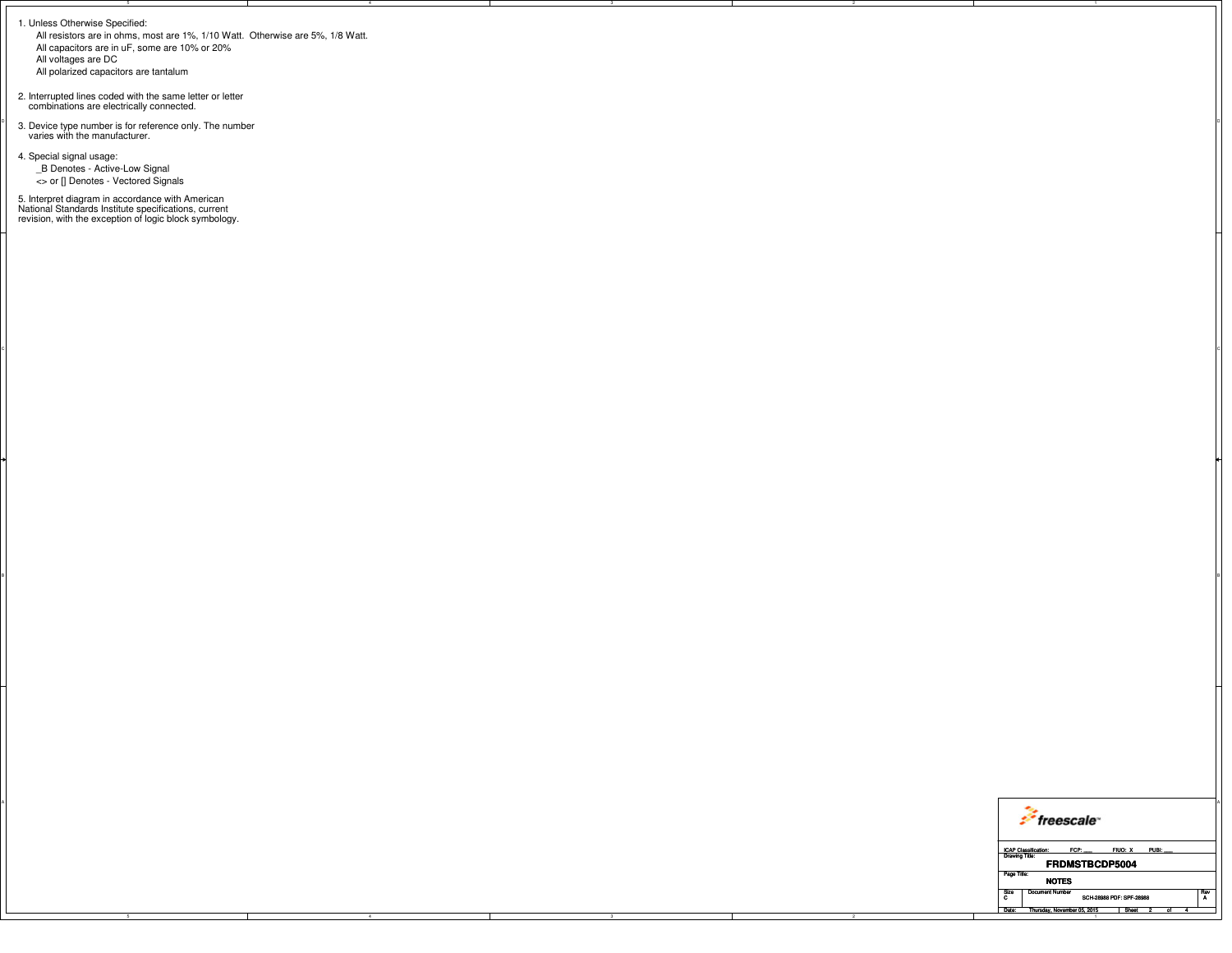1. Unless Otherwise Specified:

 All resistors are in ohms, most are 1%, 1/10 Watt. Otherwise are 5%, 1/8 Watt.All capacitors are in uF, some are 10% or 20%All voltages are DC

 $\circ$ 

BI<br>Bi

All polarized capacitors are tantalum

2. Interrupted lines coded with the same letter or letter combinations are electrically connected.

 $\int_{\text{a}}^{\infty}$  3. Device type number is for reference only. The number  $\int_{\text{a}}^{\infty}$  varies with the manufacturer.

4. Special signal usage: \_B Denotes - Active-Low Signal<> or [] Denotes - Vectored Signals

5. Interpret diagram in accordance with American National Standards Institute specifications, current revision, with the exception of logic block symbology.

| freescale <sup>®</sup>                                                                             |
|----------------------------------------------------------------------------------------------------|
| FCP: FIUO: X PUBI:<br><b>ICAP Classification:</b><br><b>Drawing Title</b><br><b>FRDMSTBCDP5004</b> |
| Page Title:<br><b>NOTES</b>                                                                        |
| Size   Document Number<br>† Rev<br>SCH-28988 PDF: SPF-28988                                        |
| Date: Thursday, November 05, 2015<br>Sheet                                                         |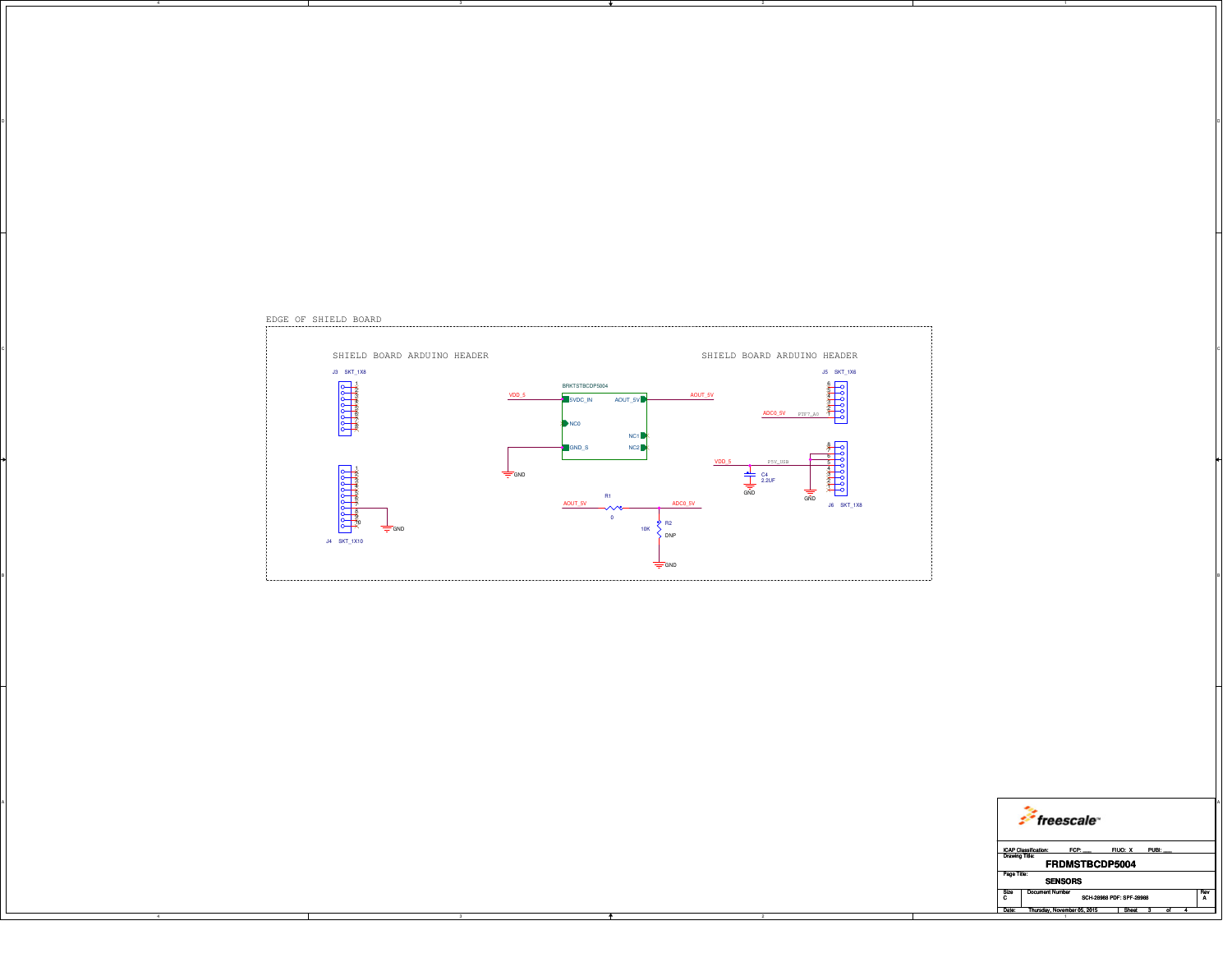|  | <i>freescale</i>                                                                |
|--|---------------------------------------------------------------------------------|
|  | ICAP Classification: FCP: FIUO: X PUBI:<br><b>FRDMSTBCDP5004</b><br>Page Title: |
|  | <b>SENSORS</b>                                                                  |
|  | Size Document Number<br>SCH-28988 PDF: SPF-28988                                |
|  | Date: Thursday, November 05, 2015<br>Sheet 3<br><b>Contract Contract</b>        |
|  |                                                                                 |



on and the contract of the contract of the contract of the contract of the contract of the contract of the contract of the contract of the contract of the contract of the contract of the contract of the contract of the con